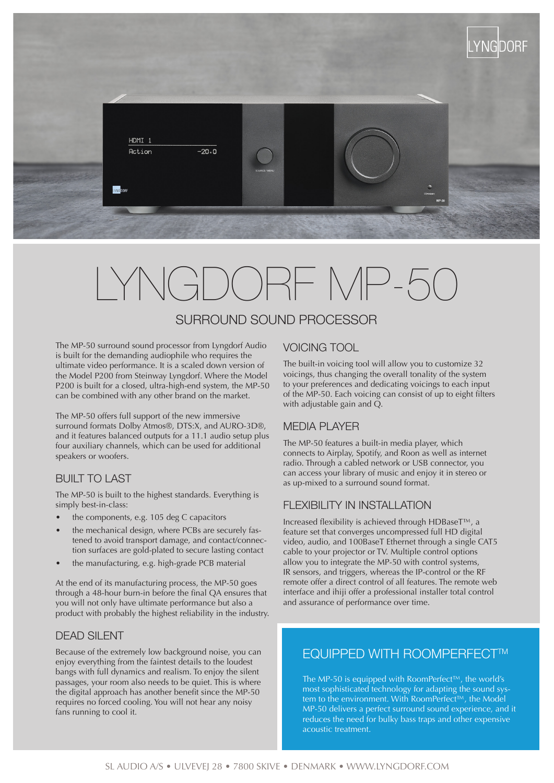

# LYNGDORF MP-50

# SURROUND SOUND PROCESSOR

The MP-50 surround sound processor from Lyngdorf Audio is built for the demanding audiophile who requires the ultimate video performance. It is a scaled down version of the Model P200 from Steinway Lyngdorf. Where the Model P200 is built for a closed, ultra-high-end system, the MP-50 can be combined with any other brand on the market.

The MP-50 offers full support of the new immersive surround formats Dolby Atmos®, DTS:X, and AURO-3D®, and it features balanced outputs for a 11.1 audio setup plus four auxiliary channels, which can be used for additional speakers or woofers.

## BUILT TO LAST

The MP-50 is built to the highest standards. Everything is simply best-in-class:

- the components, e.g. 105 deg C capacitors
- the mechanical design, where PCBs are securely fastened to avoid transport damage, and contact/connection surfaces are gold-plated to secure lasting contact
- the manufacturing, e.g. high-grade PCB material

At the end of its manufacturing process, the MP-50 goes through a 48-hour burn-in before the final QA ensures that you will not only have ultimate performance but also a product with probably the highest reliability in the industry.

#### DEAD SILENT

Because of the extremely low background noise, you can enjoy everything from the faintest details to the loudest bangs with full dynamics and realism. To enjoy the silent passages, your room also needs to be quiet. This is where the digital approach has another benefit since the MP-50 requires no forced cooling. You will not hear any noisy fans running to cool it.

### VOICING TOOL

The built-in voicing tool will allow you to customize 32 voicings, thus changing the overall tonality of the system to your preferences and dedicating voicings to each input of the MP-50. Each voicing can consist of up to eight filters with adjustable gain and Q.

#### MEDIA PI AYER

The MP-50 features a built-in media player, which connects to Airplay, Spotify, and Roon as well as internet radio. Through a cabled network or USB connector, you can access your library of music and enjoy it in stereo or as up-mixed to a surround sound format.

#### FLEXIBILITY IN INSTALLATION

Increased flexibility is achieved through HDBaseT™, a feature set that converges uncompressed full HD digital video, audio, and 100BaseT Ethernet through a single CAT5 cable to your projector or TV. Multiple control options allow you to integrate the MP-50 with control systems, IR sensors, and triggers, whereas the IP-control or the RF remote offer a direct control of all features. The remote web interface and ihiji offer a professional installer total control and assurance of performance over time.

# **EQUIPPED WITH ROOMPERFECT™**

The MP-50 is equipped with RoomPerfect™, the world's most sophisticated technology for adapting the sound system to the environment. With RoomPerfect™, the Model MP-50 delivers a perfect surround sound experience, and it reduces the need for bulky bass traps and other expensive acoustic treatment.